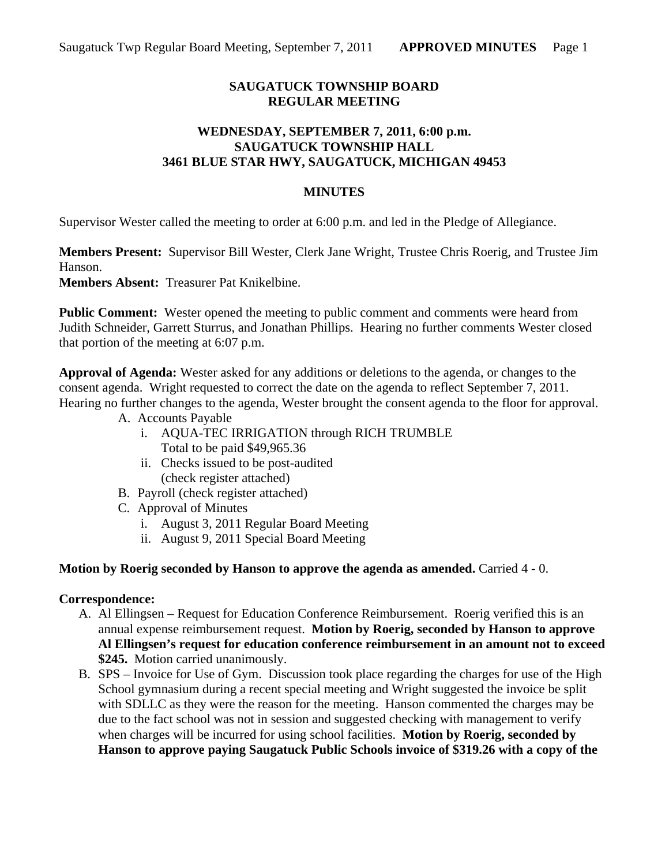# **SAUGATUCK TOWNSHIP BOARD REGULAR MEETING**

# **WEDNESDAY, SEPTEMBER 7, 2011, 6:00 p.m. SAUGATUCK TOWNSHIP HALL 3461 BLUE STAR HWY, SAUGATUCK, MICHIGAN 49453**

### **MINUTES**

Supervisor Wester called the meeting to order at 6:00 p.m. and led in the Pledge of Allegiance.

**Members Present:** Supervisor Bill Wester, Clerk Jane Wright, Trustee Chris Roerig, and Trustee Jim Hanson. **Members Absent:** Treasurer Pat Knikelbine.

**Public Comment:** Wester opened the meeting to public comment and comments were heard from Judith Schneider, Garrett Sturrus, and Jonathan Phillips. Hearing no further comments Wester closed that portion of the meeting at 6:07 p.m.

**Approval of Agenda:** Wester asked for any additions or deletions to the agenda, or changes to the consent agenda. Wright requested to correct the date on the agenda to reflect September 7, 2011. Hearing no further changes to the agenda, Wester brought the consent agenda to the floor for approval.

- A. Accounts Payable
	- i. AQUA-TEC IRRIGATION through RICH TRUMBLE Total to be paid \$49,965.36
	- ii. Checks issued to be post-audited (check register attached)
- B. Payroll (check register attached)
- C. Approval of Minutes
	- i. August 3, 2011 Regular Board Meeting
	- ii. August 9, 2011 Special Board Meeting

#### **Motion by Roerig seconded by Hanson to approve the agenda as amended.** Carried 4 - 0.

#### **Correspondence:**

- A. Al Ellingsen Request for Education Conference Reimbursement. Roerig verified this is an annual expense reimbursement request. **Motion by Roerig, seconded by Hanson to approve Al Ellingsen's request for education conference reimbursement in an amount not to exceed \$245.** Motion carried unanimously.
- B. SPS Invoice for Use of Gym. Discussion took place regarding the charges for use of the High School gymnasium during a recent special meeting and Wright suggested the invoice be split with SDLLC as they were the reason for the meeting. Hanson commented the charges may be due to the fact school was not in session and suggested checking with management to verify when charges will be incurred for using school facilities. **Motion by Roerig, seconded by Hanson to approve paying Saugatuck Public Schools invoice of \$319.26 with a copy of the**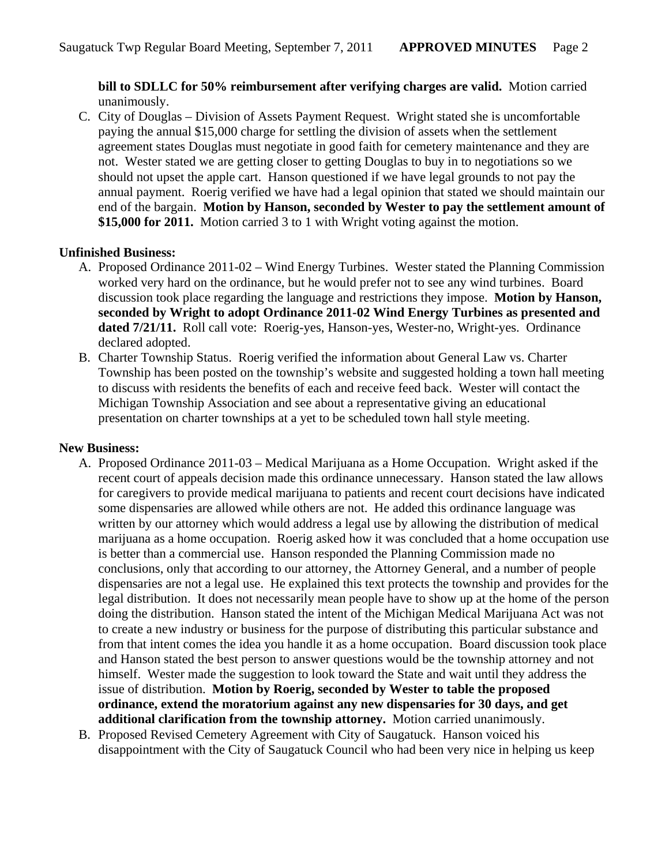**bill to SDLLC for 50% reimbursement after verifying charges are valid.** Motion carried unanimously.

C. City of Douglas – Division of Assets Payment Request. Wright stated she is uncomfortable paying the annual \$15,000 charge for settling the division of assets when the settlement agreement states Douglas must negotiate in good faith for cemetery maintenance and they are not. Wester stated we are getting closer to getting Douglas to buy in to negotiations so we should not upset the apple cart. Hanson questioned if we have legal grounds to not pay the annual payment. Roerig verified we have had a legal opinion that stated we should maintain our end of the bargain. **Motion by Hanson, seconded by Wester to pay the settlement amount of \$15,000 for 2011.** Motion carried 3 to 1 with Wright voting against the motion.

## **Unfinished Business:**

- A. Proposed Ordinance 2011-02 Wind Energy Turbines. Wester stated the Planning Commission worked very hard on the ordinance, but he would prefer not to see any wind turbines. Board discussion took place regarding the language and restrictions they impose. **Motion by Hanson, seconded by Wright to adopt Ordinance 2011-02 Wind Energy Turbines as presented and dated 7/21/11.** Roll call vote: Roerig-yes, Hanson-yes, Wester-no, Wright-yes. Ordinance declared adopted.
- B. Charter Township Status. Roerig verified the information about General Law vs. Charter Township has been posted on the township's website and suggested holding a town hall meeting to discuss with residents the benefits of each and receive feed back. Wester will contact the Michigan Township Association and see about a representative giving an educational presentation on charter townships at a yet to be scheduled town hall style meeting.

### **New Business:**

- A. Proposed Ordinance 2011-03 Medical Marijuana as a Home Occupation. Wright asked if the recent court of appeals decision made this ordinance unnecessary. Hanson stated the law allows for caregivers to provide medical marijuana to patients and recent court decisions have indicated some dispensaries are allowed while others are not. He added this ordinance language was written by our attorney which would address a legal use by allowing the distribution of medical marijuana as a home occupation. Roerig asked how it was concluded that a home occupation use is better than a commercial use. Hanson responded the Planning Commission made no conclusions, only that according to our attorney, the Attorney General, and a number of people dispensaries are not a legal use. He explained this text protects the township and provides for the legal distribution. It does not necessarily mean people have to show up at the home of the person doing the distribution. Hanson stated the intent of the Michigan Medical Marijuana Act was not to create a new industry or business for the purpose of distributing this particular substance and from that intent comes the idea you handle it as a home occupation. Board discussion took place and Hanson stated the best person to answer questions would be the township attorney and not himself. Wester made the suggestion to look toward the State and wait until they address the issue of distribution. **Motion by Roerig, seconded by Wester to table the proposed ordinance, extend the moratorium against any new dispensaries for 30 days, and get additional clarification from the township attorney.** Motion carried unanimously.
- B. Proposed Revised Cemetery Agreement with City of Saugatuck. Hanson voiced his disappointment with the City of Saugatuck Council who had been very nice in helping us keep